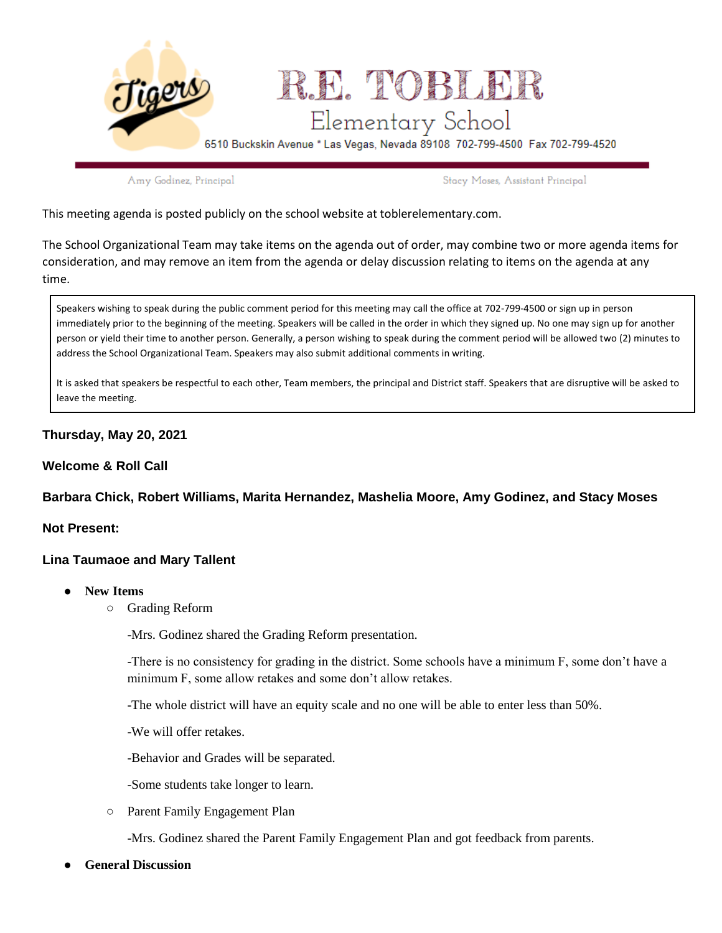

Amy Godinez, Principal

Stacy Moses, Assistant Principal

This meeting agenda is posted publicly on the school website at toblerelementary.com.

The School Organizational Team may take items on the agenda out of order, may combine two or more agenda items for consideration, and may remove an item from the agenda or delay discussion relating to items on the agenda at any time.

Speakers wishing to speak during the public comment period for this meeting may call the office at 702-799-4500 or sign up in person immediately prior to the beginning of the meeting. Speakers will be called in the order in which they signed up. No one may sign up for another person or yield their time to another person. Generally, a person wishing to speak during the comment period will be allowed two (2) minutes to address the School Organizational Team. Speakers may also submit additional comments in writing.

It is asked that speakers be respectful to each other, Team members, the principal and District staff. Speakers that are disruptive will be asked to leave the meeting.

# **Thursday, May 20, 2021**

## **Welcome & Roll Call**

### **Barbara Chick, Robert Williams, Marita Hernandez, Mashelia Moore, Amy Godinez, and Stacy Moses**

### **Not Present:**

## **Lina Taumaoe and Mary Tallent**

- **New Items**
	- Grading Reform

-Mrs. Godinez shared the Grading Reform presentation.

-There is no consistency for grading in the district. Some schools have a minimum F, some don't have a minimum F, some allow retakes and some don't allow retakes.

-The whole district will have an equity scale and no one will be able to enter less than 50%.

-We will offer retakes.

-Behavior and Grades will be separated.

-Some students take longer to learn.

○ Parent Family Engagement Plan

-Mrs. Godinez shared the Parent Family Engagement Plan and got feedback from parents.

**General Discussion**